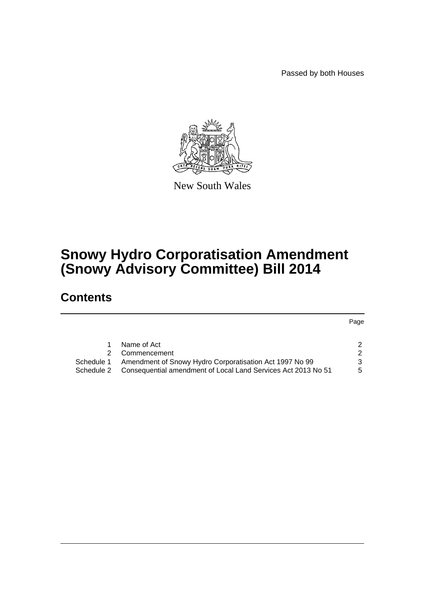Passed by both Houses

Page



New South Wales

## **Snowy Hydro Corporatisation Amendment (Snowy Advisory Committee) Bill 2014**

## **Contents**

[1 Name of Act](#page-2-0) 2 [2 Commencement](#page-2-1) 2 2 [Schedule 1 Amendment of Snowy Hydro Corporatisation Act 1997 No 99](#page-3-0) 3 [Schedule 2 Consequential amendment of Local Land Services Act 2013 No 51 5](#page-5-0)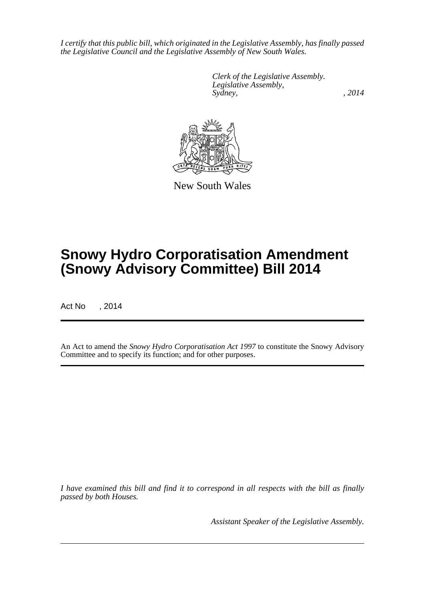*I certify that this public bill, which originated in the Legislative Assembly, has finally passed the Legislative Council and the Legislative Assembly of New South Wales.*

> *Clerk of the Legislative Assembly. Legislative Assembly, Sydney,* , 2014



New South Wales

# **Snowy Hydro Corporatisation Amendment (Snowy Advisory Committee) Bill 2014**

Act No , 2014

An Act to amend the *Snowy Hydro Corporatisation Act 1997* to constitute the Snowy Advisory Committee and to specify its function; and for other purposes.

*I have examined this bill and find it to correspond in all respects with the bill as finally passed by both Houses.*

*Assistant Speaker of the Legislative Assembly.*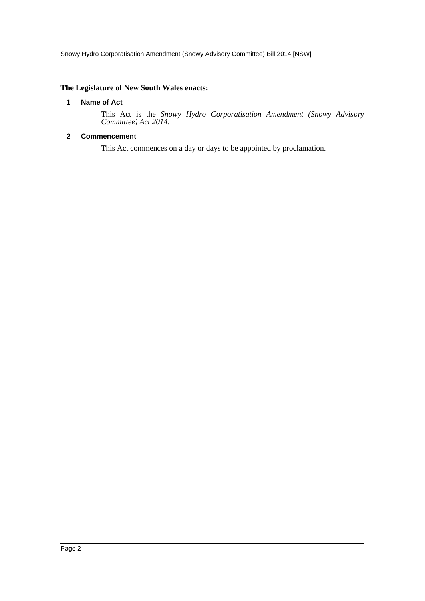Snowy Hydro Corporatisation Amendment (Snowy Advisory Committee) Bill 2014 [NSW]

#### <span id="page-2-0"></span>**The Legislature of New South Wales enacts:**

#### **1 Name of Act**

This Act is the *Snowy Hydro Corporatisation Amendment (Snowy Advisory Committee) Act 2014*.

#### <span id="page-2-1"></span>**2 Commencement**

This Act commences on a day or days to be appointed by proclamation.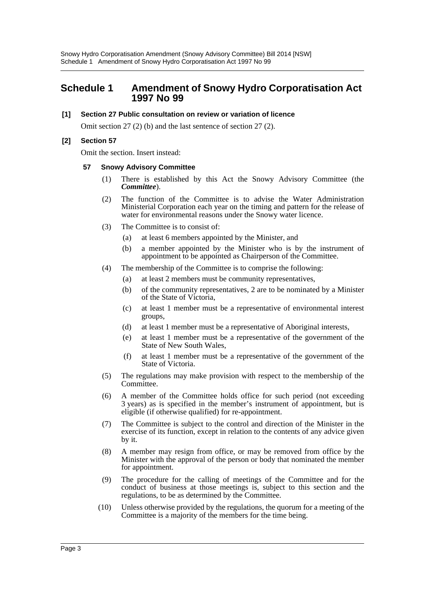### <span id="page-3-0"></span>**Schedule 1 Amendment of Snowy Hydro Corporatisation Act 1997 No 99**

#### **[1] Section 27 Public consultation on review or variation of licence**

Omit section 27 (2) (b) and the last sentence of section 27 (2).

#### **[2] Section 57**

Omit the section. Insert instead:

#### **57 Snowy Advisory Committee**

- (1) There is established by this Act the Snowy Advisory Committee (the *Committee*).
- (2) The function of the Committee is to advise the Water Administration Ministerial Corporation each year on the timing and pattern for the release of water for environmental reasons under the Snowy water licence.
- (3) The Committee is to consist of:
	- (a) at least 6 members appointed by the Minister, and
	- (b) a member appointed by the Minister who is by the instrument of appointment to be appointed as Chairperson of the Committee.
- (4) The membership of the Committee is to comprise the following:
	- (a) at least 2 members must be community representatives,
	- (b) of the community representatives, 2 are to be nominated by a Minister of the State of Victoria,
	- (c) at least 1 member must be a representative of environmental interest groups,
	- (d) at least 1 member must be a representative of Aboriginal interests,
	- (e) at least 1 member must be a representative of the government of the State of New South Wales,
	- (f) at least 1 member must be a representative of the government of the State of Victoria.
- (5) The regulations may make provision with respect to the membership of the Committee.
- (6) A member of the Committee holds office for such period (not exceeding 3 years) as is specified in the member's instrument of appointment, but is eligible (if otherwise qualified) for re-appointment.
- (7) The Committee is subject to the control and direction of the Minister in the exercise of its function, except in relation to the contents of any advice given by it.
- (8) A member may resign from office, or may be removed from office by the Minister with the approval of the person or body that nominated the member for appointment.
- (9) The procedure for the calling of meetings of the Committee and for the conduct of business at those meetings is, subject to this section and the regulations, to be as determined by the Committee.
- (10) Unless otherwise provided by the regulations, the quorum for a meeting of the Committee is a majority of the members for the time being.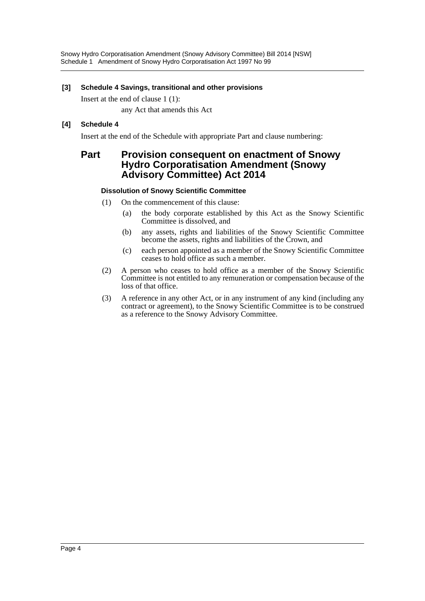#### **[3] Schedule 4 Savings, transitional and other provisions**

Insert at the end of clause 1 (1): any Act that amends this Act

#### **[4] Schedule 4**

Insert at the end of the Schedule with appropriate Part and clause numbering:

### **Part Provision consequent on enactment of Snowy Hydro Corporatisation Amendment (Snowy Advisory Committee) Act 2014**

#### **Dissolution of Snowy Scientific Committee**

- (1) On the commencement of this clause:
	- (a) the body corporate established by this Act as the Snowy Scientific Committee is dissolved, and
	- (b) any assets, rights and liabilities of the Snowy Scientific Committee become the assets, rights and liabilities of the Crown, and
	- (c) each person appointed as a member of the Snowy Scientific Committee ceases to hold office as such a member.
- (2) A person who ceases to hold office as a member of the Snowy Scientific Committee is not entitled to any remuneration or compensation because of the loss of that office.
- (3) A reference in any other Act, or in any instrument of any kind (including any contract or agreement), to the Snowy Scientific Committee is to be construed as a reference to the Snowy Advisory Committee.